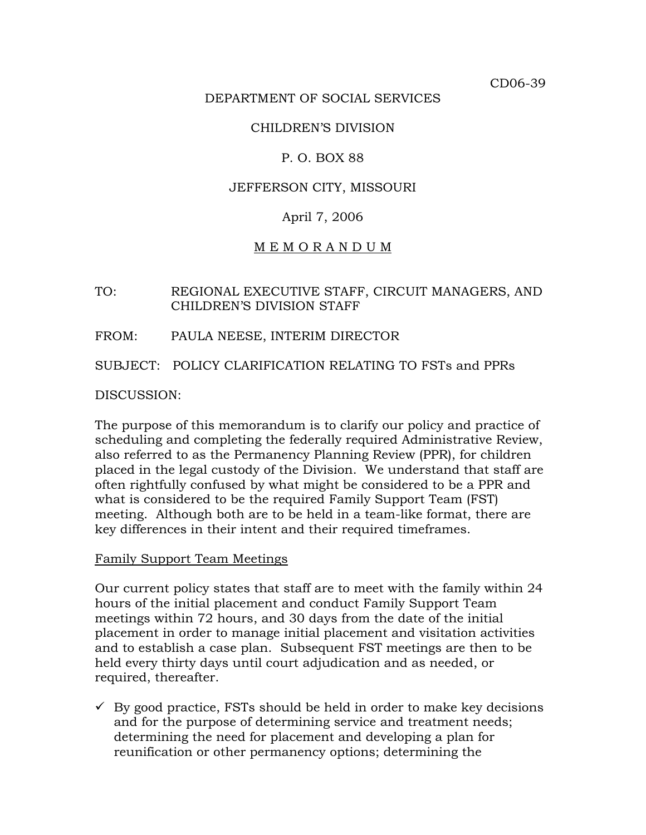CD06-39

#### DEPARTMENT OF SOCIAL SERVICES

#### CHILDREN'S DIVISION

#### P. O. BOX 88

#### JEFFERSON CITY, MISSOURI

## April 7, 2006

#### M E M O R A N D U M

#### TO: REGIONAL EXECUTIVE STAFF, CIRCUIT MANAGERS, AND CHILDREN'S DIVISION STAFF

#### FROM: PAULA NEESE, INTERIM DIRECTOR

SUBJECT: POLICY CLARIFICATION RELATING TO FSTs and PPRs

DISCUSSION:

The purpose of this memorandum is to clarify our policy and practice of scheduling and completing the federally required Administrative Review, also referred to as the Permanency Planning Review (PPR), for children placed in the legal custody of the Division. We understand that staff are often rightfully confused by what might be considered to be a PPR and what is considered to be the required Family Support Team (FST) meeting. Although both are to be held in a team-like format, there are key differences in their intent and their required timeframes.

#### Family Support Team Meetings

Our current policy states that staff are to meet with the family within 24 hours of the initial placement and conduct Family Support Team meetings within 72 hours, and 30 days from the date of the initial placement in order to manage initial placement and visitation activities and to establish a case plan. Subsequent FST meetings are then to be held every thirty days until court adjudication and as needed, or required, thereafter.

 $\checkmark$  By good practice, FSTs should be held in order to make key decisions and for the purpose of determining service and treatment needs; determining the need for placement and developing a plan for reunification or other permanency options; determining the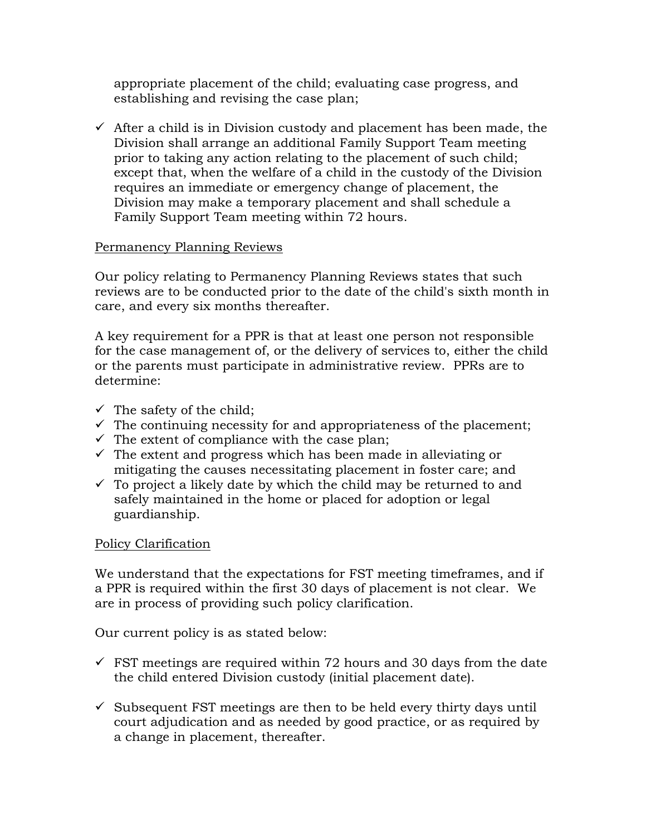appropriate placement of the child; evaluating case progress, and establishing and revising the case plan;

 $\checkmark$  After a child is in Division custody and placement has been made, the Division shall arrange an additional Family Support Team meeting prior to taking any action relating to the placement of such child; except that, when the welfare of a child in the custody of the Division requires an immediate or emergency change of placement, the Division may make a temporary placement and shall schedule a Family Support Team meeting within 72 hours.

## Permanency Planning Reviews

Our policy relating to Permanency Planning Reviews states that such reviews are to be conducted prior to the date of the child's sixth month in care, and every six months thereafter.

A key requirement for a PPR is that at least one person not responsible for the case management of, or the delivery of services to, either the child or the parents must participate in administrative review. PPRs are to determine:

- $\checkmark$  The safety of the child;
- $\checkmark$  The continuing necessity for and appropriateness of the placement;
- $\checkmark$  The extent of compliance with the case plan;
- $\checkmark$  The extent and progress which has been made in alleviating or mitigating the causes necessitating placement in foster care; and
- $\checkmark$  To project a likely date by which the child may be returned to and safely maintained in the home or placed for adoption or legal guardianship.

#### Policy Clarification

We understand that the expectations for FST meeting timeframes, and if a PPR is required within the first 30 days of placement is not clear. We are in process of providing such policy clarification.

Our current policy is as stated below:

- $\checkmark$  FST meetings are required within 72 hours and 30 days from the date the child entered Division custody (initial placement date).
- $\checkmark$  Subsequent FST meetings are then to be held every thirty days until court adjudication and as needed by good practice, or as required by a change in placement, thereafter.